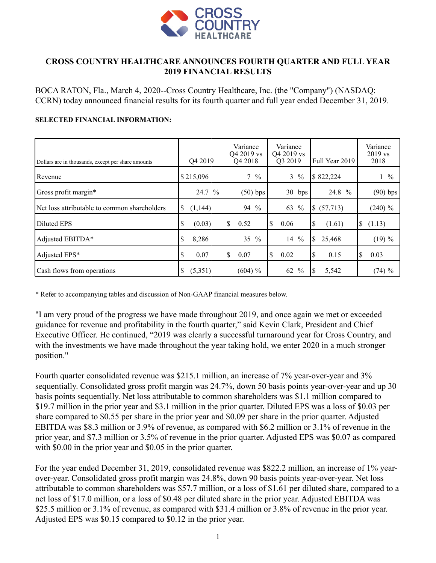

### **CROSS COUNTRY HEALTHCARE ANNOUNCES FOURTH QUARTER AND FULL YEAR 2019 FINANCIAL RESULTS**

BOCA RATON, Fla., March 4, 2020--Cross Country Healthcare, Inc. (the "Company") (NASDAQ: CCRN) today announced financial results for its fourth quarter and full year ended December 31, 2019.

### **SELECTED FINANCIAL INFORMATION:**

| Dollars are in thousands, except per share amounts | Q4 2019       | Variance<br>Q4 2019 vs<br>Q4 2018 | Variance<br>Q4 2019 vs<br>Q3 2019 | Full Year 2019         | Variance<br>$2019$ vs<br>2018 |
|----------------------------------------------------|---------------|-----------------------------------|-----------------------------------|------------------------|-------------------------------|
| Revenue                                            | \$215,096     | $7\frac{9}{6}$                    | $\frac{0}{0}$<br>3                | \$822,224              | $1 \frac{9}{6}$               |
| Gross profit margin*                               | 24.7 %        | $(50)$ bps                        | $30$ bps                          | 24.8 %                 | $(90)$ bps                    |
| Net loss attributable to common shareholders       | S<br>(1,144)  | 94 %                              | 63<br>$\frac{0}{0}$               | \$ (57,713)            | $(240) \%$                    |
| Diluted EPS                                        | \$<br>(0.03)  | S<br>0.52                         | <sup>\$</sup><br>0.06             | \$<br>(1.61)           | \$<br>(1.13)                  |
| Adjusted EBITDA*                                   | \$<br>8,286   | 35 $%$                            | $\frac{0}{0}$<br>14               | $\mathbb{S}$<br>25,468 | $(19)\%$                      |
| Adjusted EPS*                                      | 0.07<br>S     | \$<br>0.07                        | S<br>0.02                         | S<br>0.15              | \$<br>0.03                    |
| Cash flows from operations                         | \$<br>(5,351) | $(604) \%$                        | 62<br>$\frac{0}{0}$               | l\$<br>5,542           | $(74) \%$                     |

\* Refer to accompanying tables and discussion of Non-GAAP financial measures below.

"I am very proud of the progress we have made throughout 2019, and once again we met or exceeded guidance for revenue and profitability in the fourth quarter," said Kevin Clark, President and Chief Executive Officer. He continued, "2019 was clearly a successful turnaround year for Cross Country, and with the investments we have made throughout the year taking hold, we enter 2020 in a much stronger position."

Fourth quarter consolidated revenue was \$215.1 million, an increase of 7% year-over-year and 3% sequentially. Consolidated gross profit margin was 24.7%, down 50 basis points year-over-year and up 30 basis points sequentially. Net loss attributable to common shareholders was \$1.1 million compared to \$19.7 million in the prior year and \$3.1 million in the prior quarter. Diluted EPS was a loss of \$0.03 per share compared to \$0.55 per share in the prior year and \$0.09 per share in the prior quarter. Adjusted EBITDA was \$8.3 million or 3.9% of revenue, as compared with \$6.2 million or 3.1% of revenue in the prior year, and \$7.3 million or 3.5% of revenue in the prior quarter. Adjusted EPS was \$0.07 as compared with \$0.00 in the prior year and \$0.05 in the prior quarter.

For the year ended December 31, 2019, consolidated revenue was \$822.2 million, an increase of 1% yearover-year. Consolidated gross profit margin was 24.8%, down 90 basis points year-over-year. Net loss attributable to common shareholders was \$57.7 million, or a loss of \$1.61 per diluted share, compared to a net loss of \$17.0 million, or a loss of \$0.48 per diluted share in the prior year. Adjusted EBITDA was \$25.5 million or 3.1% of revenue, as compared with \$31.4 million or 3.8% of revenue in the prior year. Adjusted EPS was \$0.15 compared to \$0.12 in the prior year.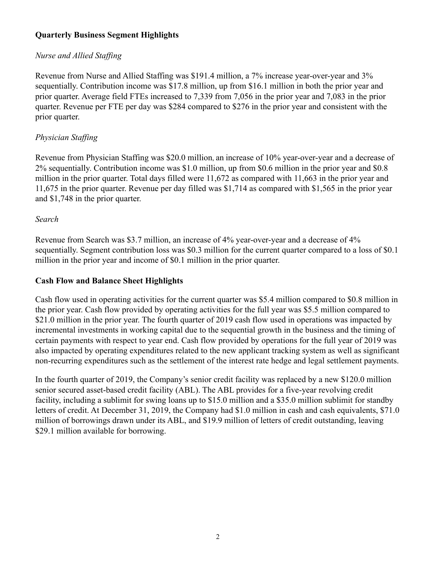# **Quarterly Business Segment Highlights**

# *Nurse and Allied Staffing*

Revenue from Nurse and Allied Staffing was \$191.4 million, a 7% increase year-over-year and 3% sequentially. Contribution income was \$17.8 million, up from \$16.1 million in both the prior year and prior quarter. Average field FTEs increased to 7,339 from 7,056 in the prior year and 7,083 in the prior quarter. Revenue per FTE per day was \$284 compared to \$276 in the prior year and consistent with the prior quarter.

# *Physician Staffing*

Revenue from Physician Staffing was \$20.0 million, an increase of 10% year-over-year and a decrease of 2% sequentially. Contribution income was \$1.0 million, up from \$0.6 million in the prior year and \$0.8 million in the prior quarter. Total days filled were 11,672 as compared with 11,663 in the prior year and 11,675 in the prior quarter. Revenue per day filled was \$1,714 as compared with \$1,565 in the prior year and \$1,748 in the prior quarter.

### *Search*

Revenue from Search was \$3.7 million, an increase of 4% year-over-year and a decrease of 4% sequentially. Segment contribution loss was \$0.3 million for the current quarter compared to a loss of \$0.1 million in the prior year and income of \$0.1 million in the prior quarter.

## **Cash Flow and Balance Sheet Highlights**

Cash flow used in operating activities for the current quarter was \$5.4 million compared to \$0.8 million in the prior year. Cash flow provided by operating activities for the full year was \$5.5 million compared to \$21.0 million in the prior year. The fourth quarter of 2019 cash flow used in operations was impacted by incremental investments in working capital due to the sequential growth in the business and the timing of certain payments with respect to year end. Cash flow provided by operations for the full year of 2019 was also impacted by operating expenditures related to the new applicant tracking system as well as significant non-recurring expenditures such as the settlement of the interest rate hedge and legal settlement payments.

In the fourth quarter of 2019, the Company's senior credit facility was replaced by a new \$120.0 million senior secured asset-based credit facility (ABL). The ABL provides for a five-year revolving credit facility, including a sublimit for swing loans up to \$15.0 million and a \$35.0 million sublimit for standby letters of credit. At December 31, 2019, the Company had \$1.0 million in cash and cash equivalents, \$71.0 million of borrowings drawn under its ABL, and \$19.9 million of letters of credit outstanding, leaving \$29.1 million available for borrowing.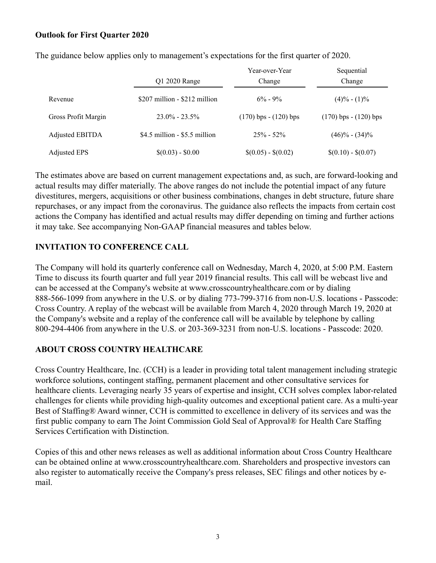### **Outlook for First Quarter 2020**

|                     |                                 | Year-over-Year            |                           |  |  |  |
|---------------------|---------------------------------|---------------------------|---------------------------|--|--|--|
|                     | 01 2020 Range                   | Change                    | Change                    |  |  |  |
| Revenue             | $$207$ million - $$212$ million | $6\% - 9\%$               | $(4)\% - (1)\%$           |  |  |  |
| Gross Profit Margin | $23.0\% - 23.5\%$               | $(170)$ bps $- (120)$ bps | $(170)$ bps $- (120)$ bps |  |  |  |
| Adjusted EBITDA     | $$4.5$ million - \$5.5 million  | $25\% - 52\%$             | $(46)\% - (34)\%$         |  |  |  |
| <b>Adjusted EPS</b> | $$(0.03) - $0.00$               | $$(0.05) - $(0.02)$       | $$(0.10) - $(0.07)$       |  |  |  |

The guidance below applies only to management's expectations for the first quarter of 2020.

The estimates above are based on current management expectations and, as such, are forward-looking and actual results may differ materially. The above ranges do not include the potential impact of any future divestitures, mergers, acquisitions or other business combinations, changes in debt structure, future share repurchases, or any impact from the coronavirus. The guidance also reflects the impacts from certain cost actions the Company has identified and actual results may differ depending on timing and further actions it may take. See accompanying Non-GAAP financial measures and tables below.

## **INVITATION TO CONFERENCE CALL**

The Company will hold its quarterly conference call on Wednesday, March 4, 2020, at 5:00 P.M. Eastern Time to discuss its fourth quarter and full year 2019 financial results. This call will be webcast live and can be accessed at the Company's website at www.crosscountryhealthcare.com or by dialing 888-566-1099 from anywhere in the U.S. or by dialing 773-799-3716 from non-U.S. locations - Passcode: Cross Country. A replay of the webcast will be available from March 4, 2020 through March 19, 2020 at the Company's website and a replay of the conference call will be available by telephone by calling 800-294-4406 from anywhere in the U.S. or 203-369-3231 from non-U.S. locations - Passcode: 2020.

## **ABOUT CROSS COUNTRY HEALTHCARE**

Cross Country Healthcare, Inc. (CCH) is a leader in providing total talent management including strategic workforce solutions, contingent staffing, permanent placement and other consultative services for healthcare clients. Leveraging nearly 35 years of expertise and insight, CCH solves complex labor-related challenges for clients while providing high-quality outcomes and exceptional patient care. As a multi-year Best of Staffing® Award winner, CCH is committed to excellence in delivery of its services and was the first public company to earn The Joint Commission Gold Seal of Approval® for Health Care Staffing Services Certification with Distinction.

Copies of this and other news releases as well as additional information about Cross Country Healthcare can be obtained online at www.crosscountryhealthcare.com. Shareholders and prospective investors can also register to automatically receive the Company's press releases, SEC filings and other notices by email.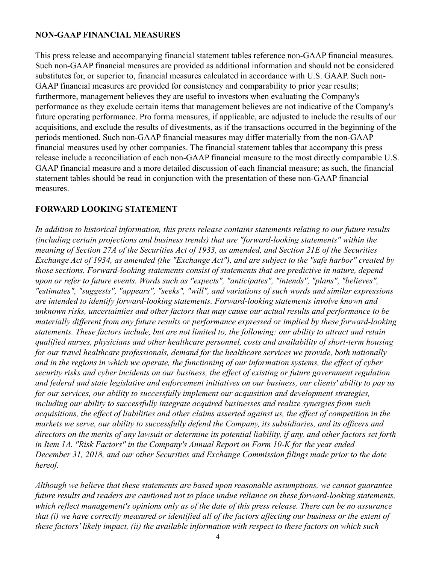# **NON-GAAP FINANCIAL MEASURES**

This press release and accompanying financial statement tables reference non-GAAP financial measures. Such non-GAAP financial measures are provided as additional information and should not be considered substitutes for, or superior to, financial measures calculated in accordance with U.S. GAAP. Such non-GAAP financial measures are provided for consistency and comparability to prior year results; furthermore, management believes they are useful to investors when evaluating the Company's performance as they exclude certain items that management believes are not indicative of the Company's future operating performance. Pro forma measures, if applicable, are adjusted to include the results of our acquisitions, and exclude the results of divestments, as if the transactions occurred in the beginning of the periods mentioned. Such non-GAAP financial measures may differ materially from the non-GAAP financial measures used by other companies. The financial statement tables that accompany this press release include a reconciliation of each non-GAAP financial measure to the most directly comparable U.S. GAAP financial measure and a more detailed discussion of each financial measure; as such, the financial statement tables should be read in conjunction with the presentation of these non-GAAP financial measures.

# **FORWARD LOOKING STATEMENT**

*In addition to historical information, this press release contains statements relating to our future results (including certain projections and business trends) that are "forward-looking statements" within the meaning of Section 27A of the Securities Act of 1933, as amended, and Section 21E of the Securities Exchange Act of 1934, as amended (the "Exchange Act"), and are subject to the "safe harbor" created by those sections. Forward-looking statements consist of statements that are predictive in nature, depend upon or refer to future events. Words such as "expects", "anticipates", "intends", "plans", "believes", "estimates", "suggests", "appears", "seeks", "will", and variations of such words and similar expressions are intended to identify forward-looking statements. Forward-looking statements involve known and unknown risks, uncertainties and other factors that may cause our actual results and performance to be materially different from any future results or performance expressed or implied by these forward-looking statements. These factors include, but are not limited to, the following: our ability to attract and retain qualified nurses, physicians and other healthcare personnel, costs and availability of short-term housing for our travel healthcare professionals, demand for the healthcare services we provide, both nationally and in the regions in which we operate, the functioning of our information systems, the effect of cyber security risks and cyber incidents on our business, the effect of existing or future government regulation and federal and state legislative and enforcement initiatives on our business, our clients' ability to pay us for our services, our ability to successfully implement our acquisition and development strategies, including our ability to successfully integrate acquired businesses and realize synergies from such acquisitions, the effect of liabilities and other claims asserted against us, the effect of competition in the markets we serve, our ability to successfully defend the Company, its subsidiaries, and its officers and directors on the merits of any lawsuit or determine its potential liability, if any, and other factors set forth in Item 1A. "Risk Factors" in the Company's Annual Report on Form 10-K for the year ended December 31, 2018, and our other Securities and Exchange Commission filings made prior to the date hereof.*

*Although we believe that these statements are based upon reasonable assumptions, we cannot guarantee future results and readers are cautioned not to place undue reliance on these forward-looking statements, which reflect management's opinions only as of the date of this press release. There can be no assurance that (i) we have correctly measured or identified all of the factors affecting our business or the extent of these factors' likely impact, (ii) the available information with respect to these factors on which such*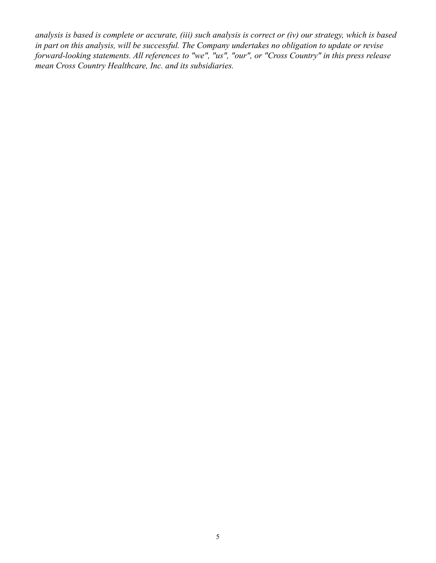*analysis is based is complete or accurate, (iii) such analysis is correct or (iv) our strategy, which is based in part on this analysis, will be successful. The Company undertakes no obligation to update or revise forward-looking statements. All references to "we", "us", "our", or "Cross Country" in this press release mean Cross Country Healthcare, Inc. and its subsidiaries.*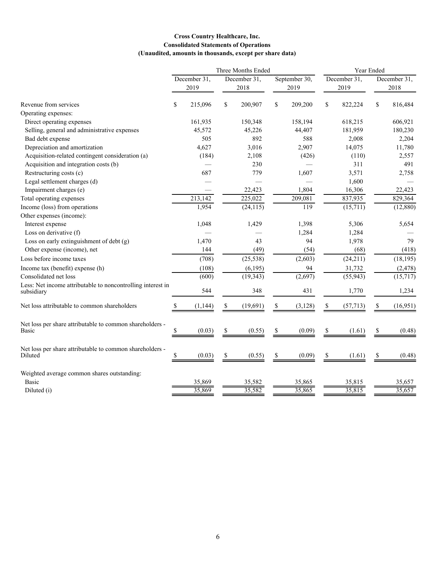#### **Cross Country Healthcare, Inc. Consolidated Statements of Operations (Unaudited, amounts in thousands, except per share data)**

|                                                                     |    |                      |                      | Three Months Ended |                       |          | Year Ended           |           |                      |           |  |  |
|---------------------------------------------------------------------|----|----------------------|----------------------|--------------------|-----------------------|----------|----------------------|-----------|----------------------|-----------|--|--|
|                                                                     |    | December 31,<br>2019 | December 31,<br>2018 |                    | September 30,<br>2019 |          | December 31,<br>2019 |           | December 31,<br>2018 |           |  |  |
|                                                                     |    |                      |                      |                    |                       |          |                      |           |                      |           |  |  |
| Revenue from services                                               | \$ | 215,096              | \$                   | 200,907            | \$                    | 209,200  | \$                   | 822,224   | \$                   | 816,484   |  |  |
| Operating expenses:                                                 |    |                      |                      |                    |                       |          |                      |           |                      |           |  |  |
| Direct operating expenses                                           |    | 161,935              |                      | 150,348            |                       | 158,194  |                      | 618,215   |                      | 606,921   |  |  |
| Selling, general and administrative expenses                        |    | 45,572               |                      | 45,226             |                       | 44,407   |                      | 181,959   |                      | 180,230   |  |  |
| Bad debt expense                                                    |    | 505                  |                      | 892                |                       | 588      |                      | 2,008     |                      | 2,204     |  |  |
| Depreciation and amortization                                       |    | 4,627                |                      | 3,016              |                       | 2,907    |                      | 14,075    |                      | 11,780    |  |  |
| Acquisition-related contingent consideration (a)                    |    | (184)                |                      | 2,108              |                       | (426)    |                      | (110)     |                      | 2,557     |  |  |
| Acquisition and integration costs (b)                               |    |                      |                      | 230                |                       |          |                      | 311       |                      | 491       |  |  |
| Restructuring costs (c)                                             |    | 687                  |                      | 779                |                       | 1,607    |                      | 3,571     |                      | 2,758     |  |  |
| Legal settlement charges (d)                                        |    |                      |                      |                    |                       |          |                      | 1,600     |                      |           |  |  |
| Impairment charges (e)                                              |    |                      |                      | 22,423             |                       | 1,804    |                      | 16,306    |                      | 22,423    |  |  |
| Total operating expenses                                            |    | 213,142              |                      | 225,022            |                       | 209,081  |                      | 837,935   |                      | 829,364   |  |  |
| Income (loss) from operations                                       |    | 1,954                |                      | (24, 115)          |                       | 119      |                      | (15,711)  |                      | (12, 880) |  |  |
| Other expenses (income):                                            |    |                      |                      |                    |                       |          |                      |           |                      |           |  |  |
| Interest expense                                                    |    | 1,048                |                      | 1,429              |                       | 1,398    |                      | 5,306     |                      | 5,654     |  |  |
| Loss on derivative (f)                                              |    |                      |                      |                    |                       | 1,284    |                      | 1,284     |                      |           |  |  |
| Loss on early extinguishment of debt (g)                            |    | 1,470                |                      | 43                 |                       | 94       |                      | 1,978     |                      | 79        |  |  |
| Other expense (income), net                                         |    | 144                  |                      | (49)               |                       | (54)     |                      | (68)      |                      | (418)     |  |  |
| Loss before income taxes                                            |    | (708)                |                      | (25, 538)          |                       | (2,603)  |                      | (24,211)  |                      | (18, 195) |  |  |
| Income tax (benefit) expense (h)                                    |    | (108)                |                      | (6, 195)           |                       | 94       |                      | 31,732    |                      | (2, 478)  |  |  |
| Consolidated net loss                                               |    | (600)                |                      | (19, 343)          |                       | (2,697)  |                      | (55, 943) |                      | (15, 717) |  |  |
| Less: Net income attributable to noncontrolling interest in         |    |                      |                      |                    |                       |          |                      |           |                      |           |  |  |
| subsidiary                                                          |    | 544                  |                      | 348                |                       | 431      |                      | 1,770     |                      | 1,234     |  |  |
| Net loss attributable to common shareholders                        | \$ | (1, 144)             | \$                   | (19,691)           | \$                    | (3, 128) | \$                   | (57, 713) | \$                   | (16, 951) |  |  |
| Net loss per share attributable to common shareholders -<br>Basic   | \$ | (0.03)               | \$                   | (0.55)             | \$                    | (0.09)   | $\mathbb{S}$         | (1.61)    | \$                   | (0.48)    |  |  |
| Net loss per share attributable to common shareholders -<br>Diluted | S  | (0.03)               | \$                   | (0.55)             | \$                    | (0.09)   | \$                   | (1.61)    | \$                   | (0.48)    |  |  |
| Weighted average common shares outstanding:                         |    |                      |                      |                    |                       |          |                      |           |                      |           |  |  |
| Basic                                                               |    | 35,869               |                      | 35,582             |                       | 35,865   |                      | 35,815    |                      | 35,657    |  |  |
| Diluted (i)                                                         |    | 35,869               |                      | 35,582             |                       | 35,865   |                      | 35,815    |                      | 35,657    |  |  |
|                                                                     |    |                      |                      |                    |                       |          |                      |           |                      |           |  |  |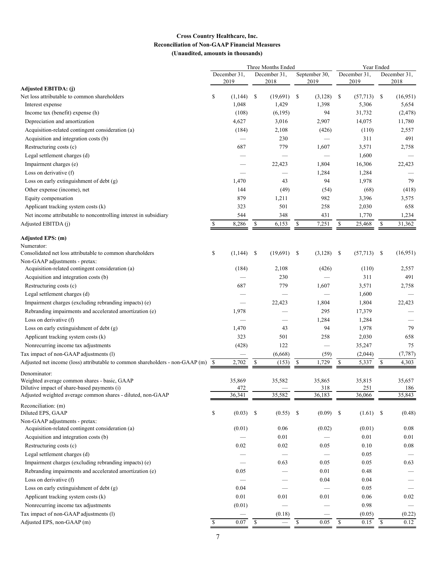#### **Cross Country Healthcare, Inc. Reconciliation of Non-GAAP Financial Measures (Unaudited, amounts in thousands)**

|                                                                                  |                         |                                |                          | Three Months Ended |               |               |             | Year Ended    |    |              |  |  |
|----------------------------------------------------------------------------------|-------------------------|--------------------------------|--------------------------|--------------------|---------------|---------------|-------------|---------------|----|--------------|--|--|
|                                                                                  |                         | December 31,                   |                          | December 31,       |               | September 30, |             | December 31,  |    | December 31, |  |  |
| Adjusted EBITDA: (j)                                                             |                         | 2019                           |                          | 2018               |               | 2019          |             | 2019          |    | 2018         |  |  |
| Net loss attributable to common shareholders                                     | \$                      | (1,144)                        | <sup>\$</sup>            | (19,691)           | <sup>\$</sup> | (3, 128)      | \$          | (57,713)      | \$ | (16,951)     |  |  |
| Interest expense                                                                 |                         | 1,048                          |                          | 1,429              |               | 1,398         |             | 5,306         |    | 5,654        |  |  |
| Income tax (benefit) expense (h)                                                 |                         | (108)                          |                          | (6, 195)           |               | 94            |             | 31,732        |    | (2, 478)     |  |  |
| Depreciation and amortization                                                    |                         | 4,627                          |                          | 3,016              |               | 2,907         |             | 14,075        |    | 11,780       |  |  |
| Acquisition-related contingent consideration (a)                                 |                         | (184)                          |                          | 2,108              |               | (426)         |             | (110)         |    | 2,557        |  |  |
| Acquisition and integration costs (b)                                            |                         |                                |                          | 230                |               |               |             | 311           |    | 491          |  |  |
| Restructuring costs (c)                                                          |                         | 687                            |                          | 779                |               | 1,607         |             | 3,571         |    | 2,758        |  |  |
| Legal settlement charges (d)                                                     |                         |                                |                          |                    |               |               |             | 1,600         |    |              |  |  |
| Impairment charges (e)                                                           |                         |                                |                          | 22,423             |               | 1,804         |             | 16,306        |    | 22,423       |  |  |
|                                                                                  |                         |                                |                          |                    |               | 1,284         |             |               |    |              |  |  |
| Loss on derivative (f)                                                           |                         |                                |                          |                    |               |               |             | 1,284         |    |              |  |  |
| Loss on early extinguishment of debt (g)                                         |                         | 1,470                          |                          | 43                 |               | 94            |             | 1,978         |    | 79           |  |  |
| Other expense (income), net                                                      |                         | 144                            |                          | (49)               |               | (54)          |             | (68)          |    | (418)        |  |  |
| Equity compensation                                                              |                         | 879                            |                          | 1,211              |               | 982           |             | 3,396         |    | 3,575        |  |  |
| Applicant tracking system costs (k)                                              |                         | 323                            |                          | 501                |               | 258           |             | 2,030         |    | 658          |  |  |
| Net income attributable to noncontrolling interest in subsidiary                 |                         | 544                            |                          | 348                |               | 431           |             | 1,770         |    | 1,234        |  |  |
| Adjusted EBITDA (j)                                                              | \$                      | 8,286                          | \$                       | 6,153              | $\mathbb{S}$  | 7,251         | \$          | 25,468        | \$ | 31,362       |  |  |
| Adjusted EPS: (m)                                                                |                         |                                |                          |                    |               |               |             |               |    |              |  |  |
| Numerator:                                                                       |                         |                                |                          |                    |               |               |             |               |    |              |  |  |
| Consolidated net loss attributable to common shareholders                        | \$                      | (1, 144)                       | -S                       | (19,691)           | <sup>\$</sup> | (3,128)       | -S          | $(57,713)$ \$ |    | (16,951)     |  |  |
| Non-GAAP adjustments - pretax:                                                   |                         |                                |                          |                    |               |               |             |               |    |              |  |  |
| Acquisition-related contingent consideration (a)                                 |                         | (184)                          |                          | 2,108              |               | (426)         |             | (110)         |    | 2,557        |  |  |
| Acquisition and integration costs (b)                                            |                         |                                |                          | 230                |               |               |             | 311           |    | 491          |  |  |
| Restructuring costs (c)                                                          |                         | 687                            |                          | 779                |               | 1,607         |             | 3,571         |    | 2,758        |  |  |
| Legal settlement charges (d)                                                     |                         |                                |                          |                    |               |               |             | 1,600         |    |              |  |  |
| Impairment charges (excluding rebranding impacts) (e)                            |                         |                                |                          | 22,423             |               | 1,804         |             | 1,804         |    | 22,423       |  |  |
| Rebranding impairments and accelerated amortization (e)                          |                         | 1,978                          |                          |                    |               | 295           |             | 17,379        |    |              |  |  |
| Loss on derivative (f)                                                           |                         |                                |                          |                    |               | 1,284         |             | 1,284         |    |              |  |  |
| Loss on early extinguishment of debt (g)                                         |                         | 1,470                          |                          | 43                 |               | 94            |             | 1,978         |    | 79           |  |  |
| Applicant tracking system costs (k)                                              |                         | 323                            |                          | 501                |               | 258           |             | 2,030         |    | 658          |  |  |
| Nonrecurring income tax adjustments                                              |                         | (428)                          |                          | 122                |               |               |             | 35,247        |    | 75           |  |  |
| Tax impact of non-GAAP adjustments (l)                                           |                         | $\overbrace{\phantom{aaaaa}}$  |                          | (6,668)            |               | (59)          |             | (2,044)       |    | (7, 787)     |  |  |
| Adjusted net income (loss) attributable to common shareholders - non-GAAP (m) \$ |                         | 2,702                          | \$                       | (153)              | $\mathbb{S}$  | 1,729         | \$          | 5,337         | \$ | 4,303        |  |  |
| Denominator:<br>Weighted average common shares - basic, GAAP                     |                         | 35,869                         |                          | 35,582             |               | 35,865        |             | 35,815        |    | 35,657       |  |  |
| Dilutive impact of share-based payments (i)                                      |                         | 472                            |                          |                    |               | 318           |             | 251           |    | 186          |  |  |
| Adjusted weighted average common shares - diluted, non-GAAP                      |                         | 36,341                         |                          | 35,582             |               | 36,183        |             | 36,066        |    | 35,843       |  |  |
| Reconciliation: (m)                                                              |                         |                                |                          |                    |               |               |             |               |    |              |  |  |
| Diluted EPS, GAAP                                                                | \$                      | (0.03)                         | -S                       | (0.55)             | -S            | (0.09)        | \$          | (1.61)        | -S | (0.48)       |  |  |
| Non-GAAP adjustments - pretax:                                                   |                         |                                |                          |                    |               |               |             |               |    |              |  |  |
| Acquisition-related contingent consideration (a)                                 |                         | (0.01)                         |                          | 0.06               |               | (0.02)        |             | (0.01)        |    | 0.08         |  |  |
| Acquisition and integration costs (b)                                            |                         |                                |                          | 0.01               |               |               |             | 0.01          |    | 0.01         |  |  |
| Restructuring costs (c)                                                          |                         | 0.02                           |                          | 0.02               |               | 0.05          |             | 0.10          |    | 0.08         |  |  |
| Legal settlement charges (d)                                                     |                         |                                |                          |                    |               |               |             | 0.05          |    |              |  |  |
| Impairment charges (excluding rebranding impacts) (e)                            |                         |                                |                          | 0.63               |               | 0.05          |             | 0.05          |    | 0.63         |  |  |
| Rebranding impairments and accelerated amortization (e)                          |                         | 0.05                           |                          |                    |               | 0.01          |             | 0.48          |    |              |  |  |
| Loss on derivative (f)                                                           |                         |                                |                          |                    |               | 0.04          |             | 0.04          |    |              |  |  |
| Loss on early extinguishment of debt (g)                                         |                         | 0.04                           |                          |                    |               |               |             | 0.05          |    |              |  |  |
| Applicant tracking system costs (k)                                              |                         | 0.01                           |                          | 0.01               |               | 0.01          |             | 0.06          |    | 0.02         |  |  |
|                                                                                  |                         |                                |                          |                    |               |               |             | 0.98          |    |              |  |  |
| Nonrecurring income tax adjustments                                              |                         | (0.01)                         |                          |                    |               |               |             |               |    |              |  |  |
| Tax impact of non-GAAP adjustments (l)                                           |                         | $\overbrace{\phantom{123331}}$ |                          | (0.18)             |               |               |             | (0.05)        |    | (0.22)       |  |  |
| Adjusted EPS, non-GAAP (m)                                                       | $\overline{\mathbb{S}}$ | 0.07                           | $\overline{\mathcal{S}}$ |                    | $\mathbb{S}$  | 0.05          | $\mathbb S$ | 0.15          | \$ | 0.12         |  |  |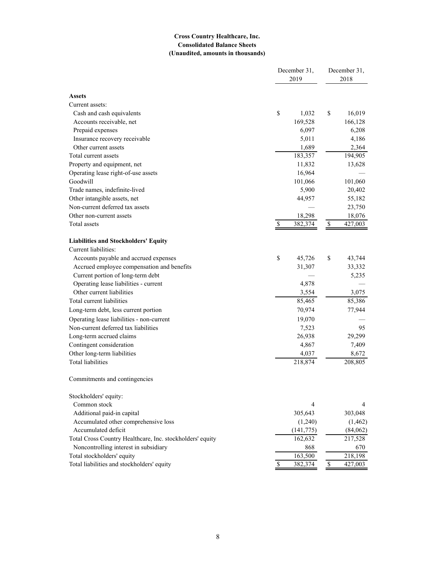#### **Cross Country Healthcare, Inc. Consolidated Balance Sheets (Unaudited, amounts in thousands)**

|                                                           | December 31,  | December 31,           |
|-----------------------------------------------------------|---------------|------------------------|
|                                                           | 2019          | 2018                   |
|                                                           |               |                        |
| <b>Assets</b>                                             |               |                        |
| Current assets:                                           | \$            | 16,019<br>\$           |
| Cash and cash equivalents                                 | 1,032         |                        |
| Accounts receivable, net                                  | 169,528       | 166,128                |
| Prepaid expenses                                          | 6,097         | 6,208                  |
| Insurance recovery receivable                             | 5,011         | 4,186                  |
| Other current assets                                      | 1,689         | 2,364                  |
| Total current assets                                      | 183,357       | 194,905                |
| Property and equipment, net                               | 11,832        | 13,628                 |
| Operating lease right-of-use assets                       | 16,964        |                        |
| Goodwill                                                  | 101,066       | 101,060                |
| Trade names, indefinite-lived                             | 5,900         | 20,402                 |
| Other intangible assets, net                              | 44,957        | 55,182                 |
| Non-current deferred tax assets                           |               | 23,750                 |
| Other non-current assets                                  | 18,298        | 18,076                 |
| Total assets                                              | 382,374<br>\$ | \$<br>427,003          |
| <b>Liabilities and Stockholders' Equity</b>               |               |                        |
| Current liabilities:                                      |               |                        |
| Accounts payable and accrued expenses                     | \$<br>45,726  | \$<br>43,744           |
| Accrued employee compensation and benefits                | 31,307        | 33,332                 |
| Current portion of long-term debt                         |               | 5,235                  |
| Operating lease liabilities - current                     | 4,878         |                        |
| Other current liabilities                                 | 3,554         | 3,075                  |
|                                                           |               |                        |
| Total current liabilities                                 | 85,465        | 85,386                 |
| Long-term debt, less current portion                      | 70,974        | 77,944                 |
| Operating lease liabilities - non-current                 | 19,070        |                        |
| Non-current deferred tax liabilities                      | 7,523         | 95                     |
| Long-term accrued claims                                  | 26,938        | 29,299                 |
| Contingent consideration                                  | 4,867         | 7,409                  |
| Other long-term liabilities                               | 4,037         | 8,672                  |
| <b>Total liabilities</b>                                  | 218,874       | 208,805                |
| Commitments and contingencies                             |               |                        |
| Stockholders' equity:                                     |               |                        |
| Common stock                                              | 4             | 4                      |
| Additional paid-in capital                                | 305,643       | 303,048                |
| Accumulated other comprehensive loss                      | (1,240)       | (1, 462)               |
| Accumulated deficit                                       | (141, 775)    | (84,062)               |
| Total Cross Country Healthcare, Inc. stockholders' equity | 162,632       | 217,528                |
| Noncontrolling interest in subsidiary                     | 868           | 670                    |
| Total stockholders' equity                                | 163,500       | 218,198                |
| Total liabilities and stockholders' equity                | \$<br>382,374 | $\mathbb S$<br>427,003 |
|                                                           |               |                        |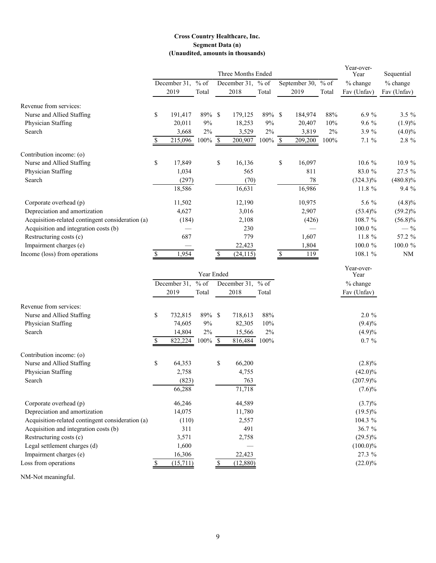#### **Cross Country Healthcare, Inc. Segment Data (n) (Unaudited, amounts in thousands)**

|                                                  | Three Months Ended   |                 |      |                           |         |              |                       | Year-over-<br>Year | Sequential              |                           |
|--------------------------------------------------|----------------------|-----------------|------|---------------------------|---------|--------------|-----------------------|--------------------|-------------------------|---------------------------|
|                                                  | December 31,<br>2019 | $%$ of<br>Total |      | December 31, % of<br>2018 | Total   |              | September 30,<br>2019 | $%$ of<br>Total    | % change<br>Fav (Unfav) | $%$ change<br>Fav (Unfav) |
| Revenue from services:                           |                      |                 |      |                           |         |              |                       |                    |                         |                           |
| Nurse and Allied Staffing                        | \$<br>191,417        | 89% \$          |      | 179,125                   | 89%     | -S           | 184,974               | 88%                | 6.9%                    | $3.5 \%$                  |
| Physician Staffing                               | 20,011               | 9%              |      | 18,253                    | 9%      |              | 20,407                | 10%                | 9.6 %                   | (1.9)%                    |
| Search                                           | 3,668                | $2\%$           |      | 3,529                     | $2\%$   |              | 3,819                 | 2%                 | 3.9%                    | $(4.0)\%$                 |
|                                                  | 215,096              | 100% \$         |      | 200,907                   | 100% \$ |              | 209,200               | 100%               | 7.1%                    | 2.8 %                     |
| Contribution income: (o)                         |                      |                 |      |                           |         |              |                       |                    |                         |                           |
| Nurse and Allied Staffing                        | \$<br>17,849         |                 | \$   | 16,136                    |         | $\mathbb{S}$ | 16,097                |                    | $10.6\%$                | 10.9 %                    |
| Physician Staffing                               | 1,034                |                 |      | 565                       |         |              | 811                   |                    | 83.0 %                  | 27.5 %                    |
| Search                                           | (297)                |                 |      | (70)                      |         |              | $78\,$                |                    | $(324.3)\%$             | $(480.8)\%$               |
|                                                  | 18,586               |                 |      | 16,631                    |         |              | 16,986                |                    | 11.8 %                  | 9.4 %                     |
| Corporate overhead (p)                           | 11,502               |                 |      | 12,190                    |         |              | 10,975                |                    | 5.6 %                   | (4.8)%                    |
| Depreciation and amortization                    | 4,627                |                 |      | 3,016                     |         |              | 2,907                 |                    | $(53.4)\%$              | $(59.2)\%$                |
| Acquisition-related contingent consideration (a) | (184)                |                 |      | 2,108                     |         |              | (426)                 |                    | 108.7 %                 | $(56.8)\%$                |
| Acquisition and integration costs (b)            |                      |                 |      | 230                       |         |              |                       |                    | 100.0%                  | $-$ %                     |
| Restructuring costs (c)                          | 687                  |                 |      | 779                       |         |              | 1,607                 |                    | 11.8 %                  | 57.2 %                    |
| Impairment charges (e)                           |                      |                 |      | 22,423                    |         |              | 1,804                 |                    | 100.0%                  | 100.0%                    |
| Income (loss) from operations                    | \$<br>1,954          |                 | S    | (24, 115)                 |         | \$           | 119                   |                    | 108.1 %                 | NM                        |
|                                                  |                      | Year Ended      |      |                           |         |              |                       |                    | Year-over-<br>Year      |                           |
|                                                  | December 31,         | $%$ of          |      | December 31, % of         |         |              |                       |                    | % change                |                           |
|                                                  | 2019                 | Total           |      | 2018                      | Total   |              |                       |                    | Fav (Unfav)             |                           |
| Revenue from services:                           |                      |                 |      |                           |         |              |                       |                    |                         |                           |
| Nurse and Allied Staffing                        | \$<br>732,815        | 89% \$          |      | 718,613                   | 88%     |              |                       |                    | $2.0 \%$                |                           |
| Physician Staffing                               | 74,605               | 9%              |      | 82,305                    | 10%     |              |                       |                    | $(9.4)\%$               |                           |
| Search                                           | 14,804               | 2%              |      | 15,566                    | 2%      |              |                       |                    | (4.9)%                  |                           |
|                                                  | 822,224              | $100\%$         | - \$ | 816,484                   | 100%    |              |                       |                    | $0.7 \%$                |                           |
| Contribution income: (o)                         |                      |                 |      |                           |         |              |                       |                    |                         |                           |
| Nurse and Allied Staffing                        | \$<br>64,353         |                 | \$   | 66,200                    |         |              |                       |                    | $(2.8)\%$               |                           |
| Physician Staffing                               | 2,758                |                 |      | 4,755                     |         |              |                       |                    | $(42.0)\%$              |                           |
| Search                                           | (823)                |                 |      | 763                       |         |              |                       |                    | $(207.9)\%$             |                           |
|                                                  | 66,288               |                 |      | 71,718                    |         |              |                       |                    | $(7.6)\%$               |                           |
| Corporate overhead (p)                           | 46,246               |                 |      | 44,589                    |         |              |                       |                    | $(3.7)\%$               |                           |
| Depreciation and amortization                    | 14,075               |                 |      | 11,780                    |         |              |                       |                    | $(19.5)\%$              |                           |
| Acquisition-related contingent consideration (a) | (110)                |                 |      | 2,557                     |         |              |                       |                    | 104.3 %                 |                           |
| Acquisition and integration costs (b)            | 311                  |                 |      | 491                       |         |              |                       |                    | 36.7 %                  |                           |
| Restructuring costs (c)                          | 3,571                |                 |      | 2,758                     |         |              |                       |                    | $(29.5)\%$              |                           |
| Legal settlement charges (d)                     | 1,600                |                 |      |                           |         |              |                       |                    | $(100.0)\%$             |                           |
| Impairment charges (e)                           | 16,306               |                 |      | 22,423                    |         |              |                       |                    | 27.3 %                  |                           |
| Loss from operations                             | (15,711)             |                 |      | (12,880)                  |         |              |                       |                    | $(22.0)\%$              |                           |

NM-Not meaningful.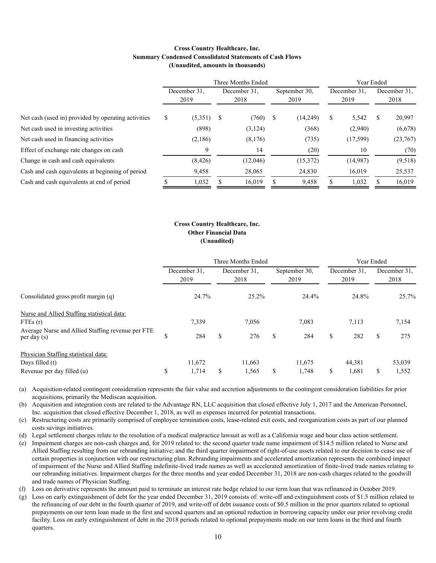#### **Cross Country Healthcare, Inc. Summary Condensed Consolidated Statements of Cash Flows (Unaudited, amounts in thousands)**

|                                                     |              |          | Three Months Ended | Year Ended   |               |           |              |          |              |          |
|-----------------------------------------------------|--------------|----------|--------------------|--------------|---------------|-----------|--------------|----------|--------------|----------|
|                                                     | December 31. |          |                    | December 31. | September 30. |           | December 31. |          | December 31. |          |
|                                                     |              | 2019     |                    | 2018         |               | 2019      |              | 2019     |              | 2018     |
| Net cash (used in) provided by operating activities | \$           | (5,351)  | $\mathbf{s}$       | (760)        | - \$          | (14,249)  | \$           | 5,542    | S            | 20,997   |
| Net cash used in investing activities               |              | (898)    |                    | (3, 124)     |               | (368)     |              | (2,940)  |              | (6,678)  |
| Net cash used in financing activities               |              | (2,186)  |                    | (8,176)      |               | (735)     |              | (17,599) |              | (23,767) |
| Effect of exchange rate changes on cash             |              | 9        |                    | 14           |               | (20)      |              | 10       |              | (70)     |
| Change in cash and cash equivalents                 |              | (8, 426) |                    | (12,046)     |               | (15, 372) |              | (14,987) |              | (9,518)  |
| Cash and cash equivalents at beginning of period    |              | 9,458    |                    | 28,065       |               | 24,830    |              | 16,019   |              | 25,537   |
| Cash and cash equivalents at end of period          |              | 1,032    |                    | 16,019       |               | 9,458     |              | 1,032    |              | 16,019   |

#### **Cross Country Healthcare, Inc. Other Financial Data (Unaudited)**

|                                                                  | Three Months Ended |                      |    |                      |                       |        |                      | Year Ended |                      |        |  |
|------------------------------------------------------------------|--------------------|----------------------|----|----------------------|-----------------------|--------|----------------------|------------|----------------------|--------|--|
|                                                                  |                    | December 31.<br>2019 |    | December 31.<br>2018 | September 30,<br>2019 |        | December 31.<br>2019 |            | December 31.<br>2018 |        |  |
| Consolidated gross profit margin (q)                             |                    | 24.7%                |    | 25.2%                |                       | 24.4%  |                      | 24.8%      |                      | 25.7%  |  |
| Nurse and Allied Staffing statistical data:                      |                    |                      |    |                      |                       |        |                      |            |                      |        |  |
| FTEs(r)                                                          |                    | 7,339                |    | 7,056                |                       | 7,083  |                      | 7,113      |                      | 7,154  |  |
| Average Nurse and Allied Staffing revenue per FTE<br>per day (s) | D                  | 284                  | \$ | 276                  | \$                    | 284    | \$                   | 282        | \$                   | 275    |  |
| Physician Staffing statistical data:                             |                    |                      |    |                      |                       |        |                      |            |                      |        |  |
| Days filled (t)                                                  |                    | 11,672               |    | 11,663               |                       | 11,675 |                      | 44,381     |                      | 53,039 |  |
| Revenue per day filled (u)                                       | \$                 | 1,714                | \$ | 1,565                | \$                    | 1,748  |                      | 1,681      | \$                   | 1,552  |  |

(a) Acquisition-related contingent consideration represents the fair value and accretion adjustments to the contingent consideration liabilities for prior acquisitions, primarily the Mediscan acquisition.

(b) Acquisition and integration costs are related to the Advantage RN, LLC acquisition that closed effective July 1, 2017 and the American Personnel, Inc. acquisition that closed effective December 1, 2018, as well as expenses incurred for potential transactions.

(c) Restructuring costs are primarily comprised of employee termination costs, lease-related exit costs, and reorganization costs as part of our planned costs savings initiatives.

(d) Legal settlement charges relate to the resolution of a medical malpractice lawsuit as well as a California wage and hour class action settlement.

(e) Impairment charges are non-cash charges and, for 2019 related to: the second quarter trade name impairment of \$14.5 million related to Nurse and Allied Staffing resulting from our rebranding initiative; and the third quarter impairment of right-of-use assets related to our decision to cease use of certain properties in conjunction with our restructuring plan. Rebranding impairments and accelerated amortization represents the combined impact of impairment of the Nurse and Allied Staffing indefinite-lived trade names as well as accelerated amortization of finite-lived trade names relating to our rebranding initiatives. Impairment charges for the three months and year ended December 31, 2018 are non-cash charges related to the goodwill and trade names of Physician Staffing.

(f) Loss on derivative represents the amount paid to terminate an interest rate hedge related to our term loan that was refinanced in October 2019.

(g) Loss on early extinguishment of debt for the year ended December 31, 2019 consists of: write-off and extinguishment costs of \$1.5 million related to the refinancing of our debt in the fourth quarter of 2019, and write-off of debt issuance costs of \$0.5 million in the prior quarters related to optional prepayments on our term loan made in the first and second quarters and an optional reduction in borrowing capacity under our prior revolving credit facility. Loss on early extinguishment of debt in the 2018 periods related to optional prepayments made on our term loans in the third and fourth quarters.